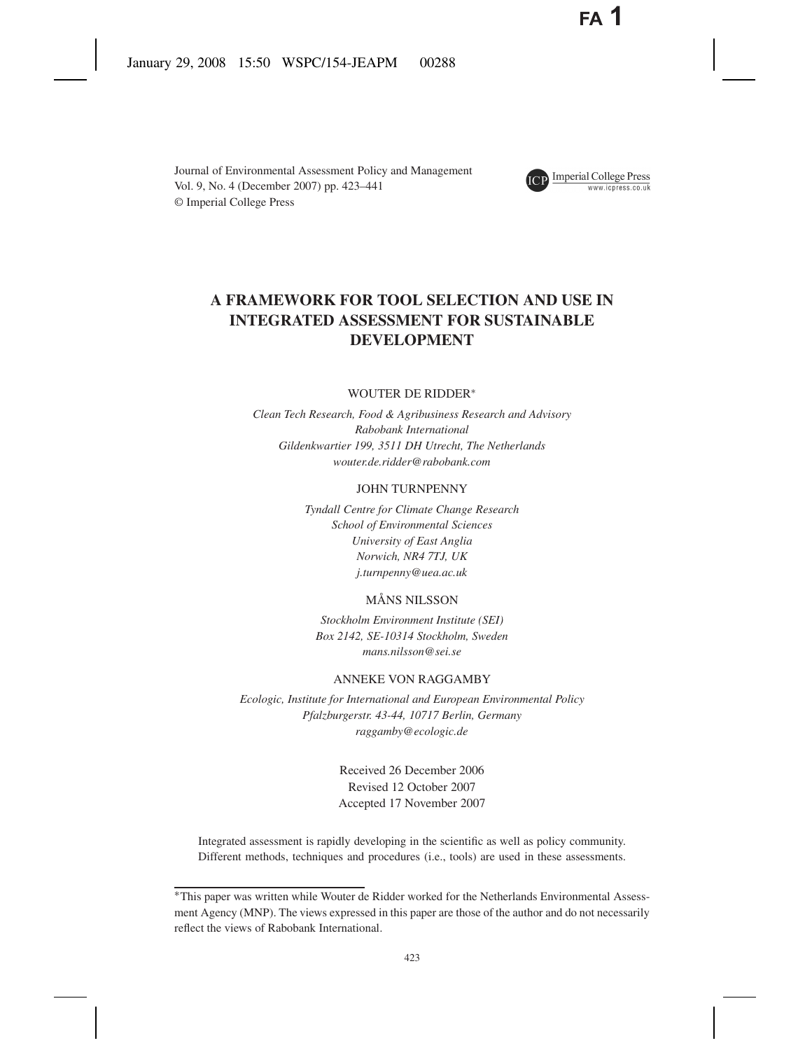Journal of Environmental Assessment Policy and Management Vol. 9, No. 4 (December 2007) pp. 423–441 © Imperial College Press



# **ICP** Imperial College Press

## **A FRAMEWORK FOR TOOL SELECTION AND USE IN INTEGRATED ASSESSMENT FOR SUSTAINABLE DEVELOPMENT**

## WOUTER DE RIDDER∗

*Clean Tech Research, Food & Agribusiness Research and Advisory Rabobank International Gildenkwartier 199, 3511 DH Utrecht, The Netherlands wouter.de.ridder@rabobank.com*

#### JOHN TURNPENNY

*Tyndall Centre for Climate Change Research School of Environmental Sciences University of East Anglia Norwich, NR4 7TJ, UK j.turnpenny@uea.ac.uk*

## MÅNS NILSSON

*Stockholm Environment Institute (SEI) Box 2142, SE-10314 Stockholm, Sweden mans.nilsson@sei.se*

#### ANNEKE VON RAGGAMBY

*Ecologic, Institute for International and European Environmental Policy Pfalzburgerstr. 43-44, 10717 Berlin, Germany raggamby@ecologic.de*

> Received 26 December 2006 Revised 12 October 2007 Accepted 17 November 2007

Integrated assessment is rapidly developing in the scientific as well as policy community. Different methods, techniques and procedures (i.e., tools) are used in these assessments.

<sup>∗</sup>This paper was written while Wouter de Ridder worked for the Netherlands Environmental Assessment Agency (MNP). The views expressed in this paper are those of the author and do not necessarily reflect the views of Rabobank International.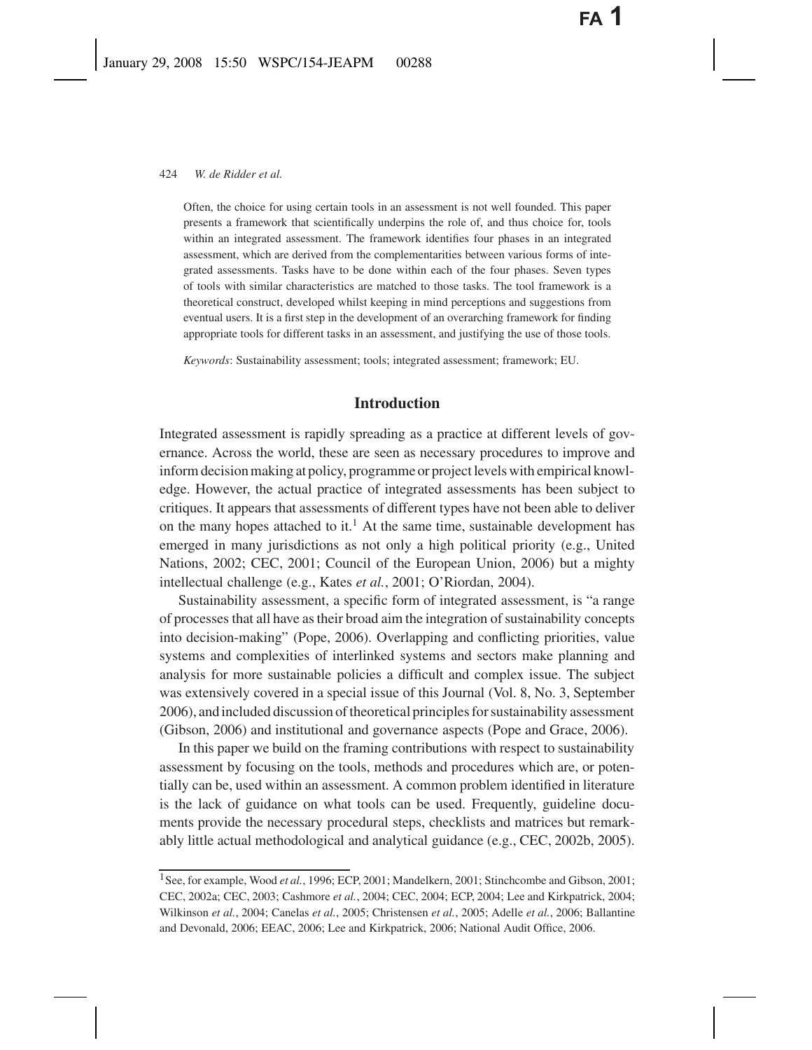Often, the choice for using certain tools in an assessment is not well founded. This paper presents a framework that scientifically underpins the role of, and thus choice for, tools within an integrated assessment. The framework identifies four phases in an integrated assessment, which are derived from the complementarities between various forms of integrated assessments. Tasks have to be done within each of the four phases. Seven types of tools with similar characteristics are matched to those tasks. The tool framework is a theoretical construct, developed whilst keeping in mind perceptions and suggestions from eventual users. It is a first step in the development of an overarching framework for finding appropriate tools for different tasks in an assessment, and justifying the use of those tools.

*Keywords*: Sustainability assessment; tools; integrated assessment; framework; EU.

## **Introduction**

Integrated assessment is rapidly spreading as a practice at different levels of governance. Across the world, these are seen as necessary procedures to improve and inform decision making at policy, programme or project levels with empirical knowledge. However, the actual practice of integrated assessments has been subject to critiques. It appears that assessments of different types have not been able to deliver on the many hopes attached to it.<sup>1</sup> At the same time, sustainable development has emerged in many jurisdictions as not only a high political priority (e.g., United Nations, 2002; CEC, 2001; Council of the European Union, 2006) but a mighty intellectual challenge (e.g., Kates *et al.*, 2001; O'Riordan, 2004).

Sustainability assessment, a specific form of integrated assessment, is "a range of processes that all have as their broad aim the integration of sustainability concepts into decision-making" (Pope, 2006). Overlapping and conflicting priorities, value systems and complexities of interlinked systems and sectors make planning and analysis for more sustainable policies a difficult and complex issue. The subject was extensively covered in a special issue of this Journal (Vol. 8, No. 3, September 2006), and included discussion of theoretical principles for sustainability assessment (Gibson, 2006) and institutional and governance aspects (Pope and Grace, 2006).

In this paper we build on the framing contributions with respect to sustainability assessment by focusing on the tools, methods and procedures which are, or potentially can be, used within an assessment. A common problem identified in literature is the lack of guidance on what tools can be used. Frequently, guideline documents provide the necessary procedural steps, checklists and matrices but remarkably little actual methodological and analytical guidance (e.g., CEC, 2002b, 2005).

<sup>&</sup>lt;sup>1</sup>See, for example, Wood et al., 1996; ECP, 2001; Mandelkern, 2001; Stinchcombe and Gibson, 2001; CEC, 2002a; CEC, 2003; Cashmore *et al.*, 2004; CEC, 2004; ECP, 2004; Lee and Kirkpatrick, 2004; Wilkinson *et al.*, 2004; Canelas *et al.*, 2005; Christensen *et al.*, 2005; Adelle *et al.*, 2006; Ballantine and Devonald, 2006; EEAC, 2006; Lee and Kirkpatrick, 2006; National Audit Office, 2006.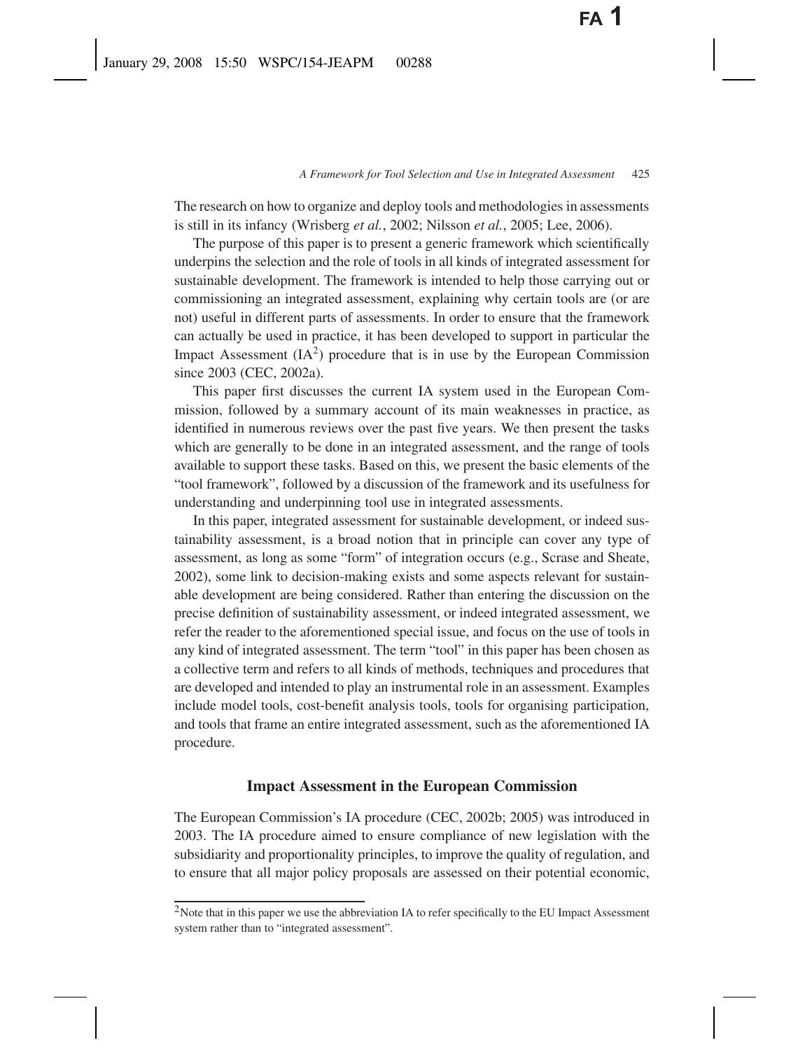The research on how to organize and deploy tools and methodologies in assessments is still in its infancy (Wrisberg *et al.*, 2002; Nilsson *et al.*, 2005; Lee, 2006).

The purpose of this paper is to present a generic framework which scientifically underpins the selection and the role of tools in all kinds of integrated assessment for sustainable development. The framework is intended to help those carrying out or commissioning an integrated assessment, explaining why certain tools are (or are not) useful in different parts of assessments. In order to ensure that the framework can actually be used in practice, it has been developed to support in particular the Impact Assessment  $(IA<sup>2</sup>)$  procedure that is in use by the European Commission since 2003 (CEC, 2002a).

This paper first discusses the current IA system used in the European Commission, followed by a summary account of its main weaknesses in practice, as identified in numerous reviews over the past five years. We then present the tasks which are generally to be done in an integrated assessment, and the range of tools available to support these tasks. Based on this, we present the basic elements of the "tool framework", followed by a discussion of the framework and its usefulness for understanding and underpinning tool use in integrated assessments.

In this paper, integrated assessment for sustainable development, or indeed sustainability assessment, is a broad notion that in principle can cover any type of assessment, as long as some "form" of integration occurs (e.g., Scrase and Sheate, 2002), some link to decision-making exists and some aspects relevant for sustainable development are being considered. Rather than entering the discussion on the precise definition of sustainability assessment, or indeed integrated assessment, we refer the reader to the aforementioned special issue, and focus on the use of tools in any kind of integrated assessment. The term "tool" in this paper has been chosen as a collective term and refers to all kinds of methods, techniques and procedures that are developed and intended to play an instrumental role in an assessment. Examples include model tools, cost-benefit analysis tools, tools for organising participation, and tools that frame an entire integrated assessment, such as the aforementioned IA procedure.

## **Impact Assessment in the European Commission**

The European Commission's IA procedure (CEC, 2002b; 2005) was introduced in 2003. The IA procedure aimed to ensure compliance of new legislation with the subsidiarity and proportionality principles, to improve the quality of regulation, and to ensure that all major policy proposals are assessed on their potential economic,

 $2$ Note that in this paper we use the abbreviation IA to refer specifically to the EU Impact Assessment system rather than to "integrated assessment".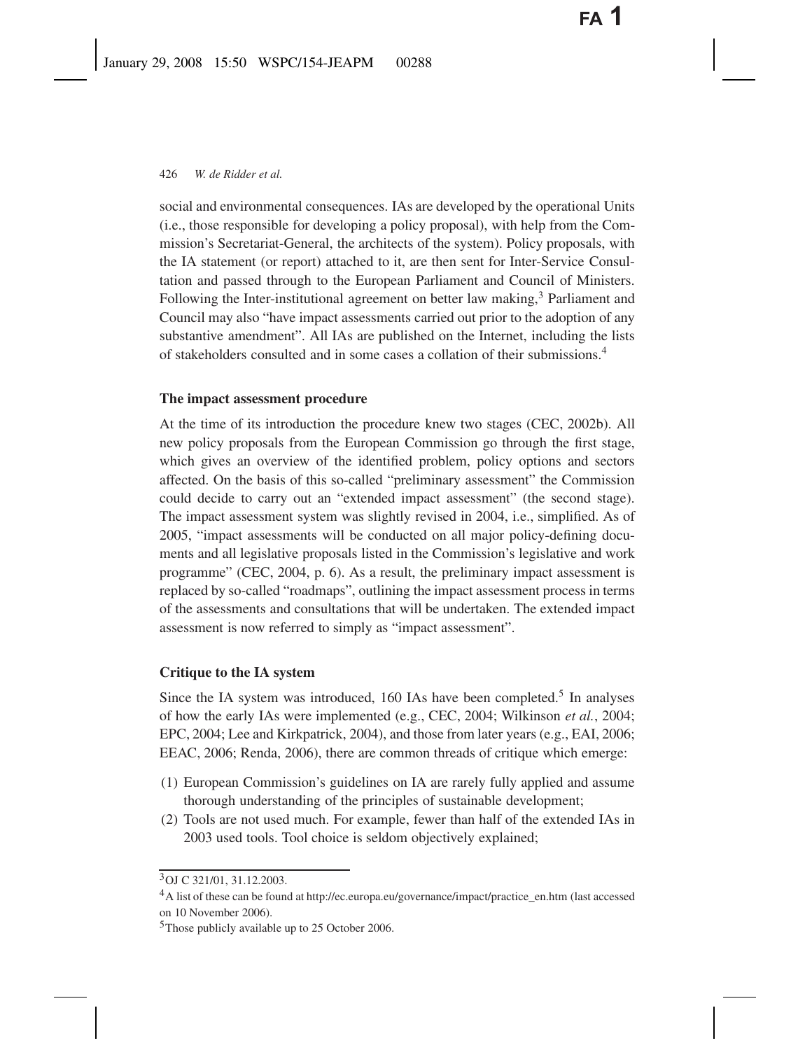social and environmental consequences. IAs are developed by the operational Units (i.e., those responsible for developing a policy proposal), with help from the Commission's Secretariat-General, the architects of the system). Policy proposals, with the IA statement (or report) attached to it, are then sent for Inter-Service Consultation and passed through to the European Parliament and Council of Ministers. Following the Inter-institutional agreement on better law making,<sup>3</sup> Parliament and Council may also "have impact assessments carried out prior to the adoption of any substantive amendment". All IAs are published on the Internet, including the lists of stakeholders consulted and in some cases a collation of their submissions.4

## **The impact assessment procedure**

At the time of its introduction the procedure knew two stages (CEC, 2002b). All new policy proposals from the European Commission go through the first stage, which gives an overview of the identified problem, policy options and sectors affected. On the basis of this so-called "preliminary assessment" the Commission could decide to carry out an "extended impact assessment" (the second stage). The impact assessment system was slightly revised in 2004, i.e., simplified. As of 2005, "impact assessments will be conducted on all major policy-defining documents and all legislative proposals listed in the Commission's legislative and work programme" (CEC, 2004, p. 6). As a result, the preliminary impact assessment is replaced by so-called "roadmaps", outlining the impact assessment process in terms of the assessments and consultations that will be undertaken. The extended impact assessment is now referred to simply as "impact assessment".

## **Critique to the IA system**

Since the IA system was introduced,  $160$  IAs have been completed.<sup>5</sup> In analyses of how the early IAs were implemented (e.g., CEC, 2004; Wilkinson *et al.*, 2004; EPC, 2004; Lee and Kirkpatrick, 2004), and those from later years (e.g., EAI, 2006; EEAC, 2006; Renda, 2006), there are common threads of critique which emerge:

- (1) European Commission's guidelines on IA are rarely fully applied and assume thorough understanding of the principles of sustainable development;
- (2) Tools are not used much. For example, fewer than half of the extended IAs in 2003 used tools. Tool choice is seldom objectively explained;

<sup>3</sup>OJ C 321/01, 31.12.2003.

<sup>4</sup>A list of these can be found at http://ec.europa.eu/governance/impact/practice\_en.htm (last accessed on 10 November 2006).

<sup>5</sup>Those publicly available up to 25 October 2006.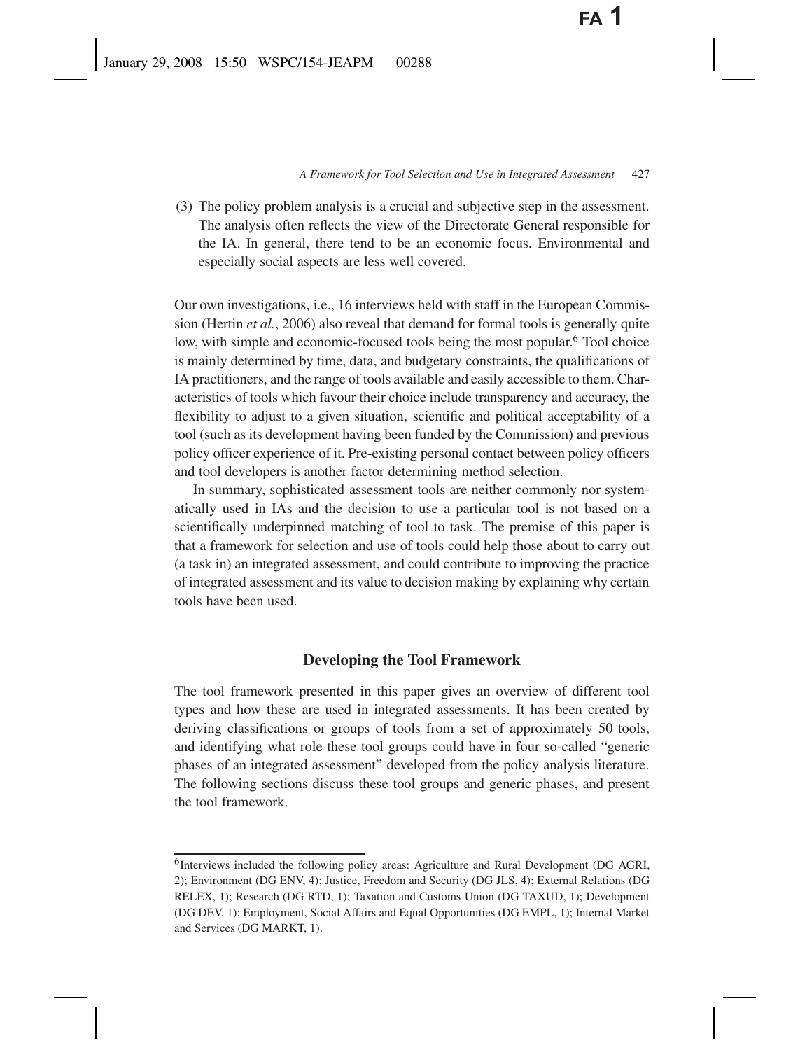(3) The policy problem analysis is a crucial and subjective step in the assessment. The analysis often reflects the view of the Directorate General responsible for the IA. In general, there tend to be an economic focus. Environmental and especially social aspects are less well covered.

Our own investigations, i.e., 16 interviews held with staff in the European Commission (Hertin *et al.*, 2006) also reveal that demand for formal tools is generally quite low, with simple and economic-focused tools being the most popular.<sup>6</sup> Tool choice is mainly determined by time, data, and budgetary constraints, the qualifications of IA practitioners, and the range of tools available and easily accessible to them. Characteristics of tools which favour their choice include transparency and accuracy, the flexibility to adjust to a given situation, scientific and political acceptability of a tool (such as its development having been funded by the Commission) and previous policy officer experience of it. Pre-existing personal contact between policy officers and tool developers is another factor determining method selection.

In summary, sophisticated assessment tools are neither commonly nor systematically used in IAs and the decision to use a particular tool is not based on a scientifically underpinned matching of tool to task. The premise of this paper is that a framework for selection and use of tools could help those about to carry out (a task in) an integrated assessment, and could contribute to improving the practice of integrated assessment and its value to decision making by explaining why certain tools have been used.

## **Developing the Tool Framework**

The tool framework presented in this paper gives an overview of different tool types and how these are used in integrated assessments. It has been created by deriving classifications or groups of tools from a set of approximately 50 tools, and identifying what role these tool groups could have in four so-called "generic phases of an integrated assessment" developed from the policy analysis literature. The following sections discuss these tool groups and generic phases, and present the tool framework.

<sup>&</sup>lt;sup>6</sup>Interviews included the following policy areas: Agriculture and Rural Development (DG AGRI, 2); Environment (DG ENV, 4); Justice, Freedom and Security (DG JLS, 4); External Relations (DG RELEX, 1); Research (DG RTD, 1); Taxation and Customs Union (DG TAXUD, 1); Development (DG DEV, 1); Employment, Social Affairs and Equal Opportunities (DG EMPL, 1); Internal Market and Services (DG MARKT, 1).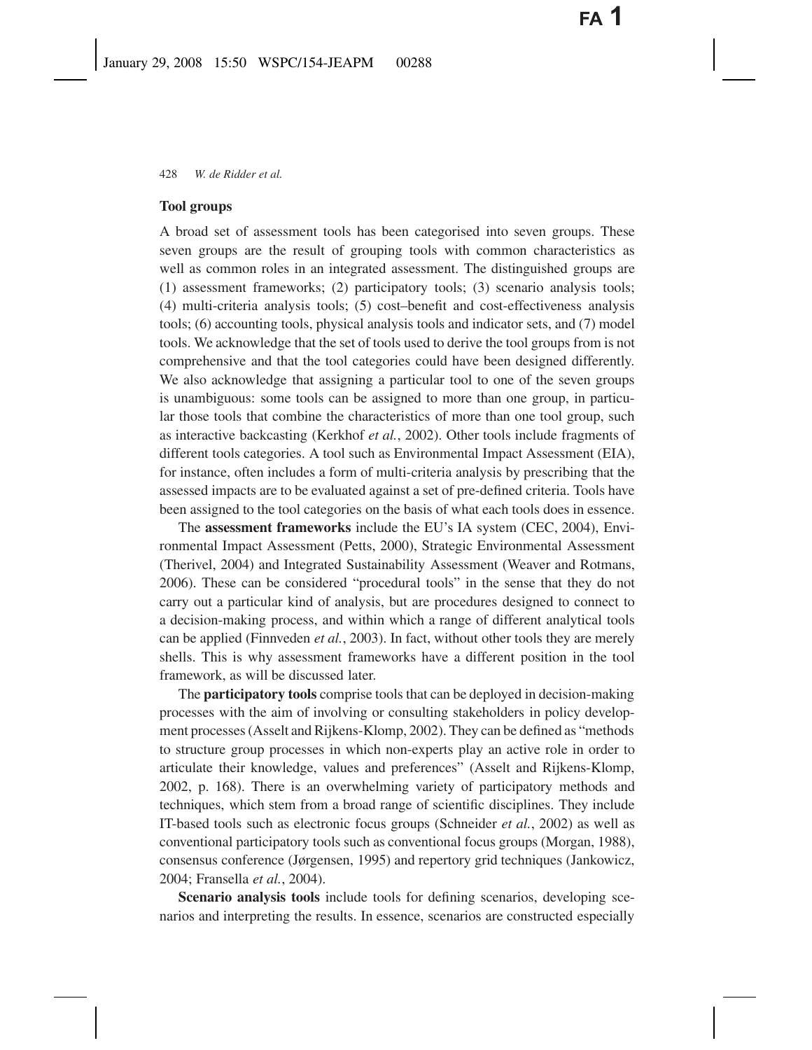#### **Tool groups**

A broad set of assessment tools has been categorised into seven groups. These seven groups are the result of grouping tools with common characteristics as well as common roles in an integrated assessment. The distinguished groups are (1) assessment frameworks; (2) participatory tools; (3) scenario analysis tools; (4) multi-criteria analysis tools; (5) cost–benefit and cost-effectiveness analysis tools; (6) accounting tools, physical analysis tools and indicator sets, and (7) model tools. We acknowledge that the set of tools used to derive the tool groups from is not comprehensive and that the tool categories could have been designed differently. We also acknowledge that assigning a particular tool to one of the seven groups is unambiguous: some tools can be assigned to more than one group, in particular those tools that combine the characteristics of more than one tool group, such as interactive backcasting (Kerkhof *et al.*, 2002). Other tools include fragments of different tools categories. A tool such as Environmental Impact Assessment (EIA), for instance, often includes a form of multi-criteria analysis by prescribing that the assessed impacts are to be evaluated against a set of pre-defined criteria. Tools have been assigned to the tool categories on the basis of what each tools does in essence.

The **assessment frameworks** include the EU's IA system (CEC, 2004), Environmental Impact Assessment (Petts, 2000), Strategic Environmental Assessment (Therivel, 2004) and Integrated Sustainability Assessment (Weaver and Rotmans, 2006). These can be considered "procedural tools" in the sense that they do not carry out a particular kind of analysis, but are procedures designed to connect to a decision-making process, and within which a range of different analytical tools can be applied (Finnveden *et al.*, 2003). In fact, without other tools they are merely shells. This is why assessment frameworks have a different position in the tool framework, as will be discussed later.

The **participatory tools** comprise tools that can be deployed in decision-making processes with the aim of involving or consulting stakeholders in policy development processes (Asselt and Rijkens-Klomp, 2002). They can be defined as "methods to structure group processes in which non-experts play an active role in order to articulate their knowledge, values and preferences" (Asselt and Rijkens-Klomp, 2002, p. 168). There is an overwhelming variety of participatory methods and techniques, which stem from a broad range of scientific disciplines. They include IT-based tools such as electronic focus groups (Schneider *et al.*, 2002) as well as conventional participatory tools such as conventional focus groups (Morgan, 1988), consensus conference (Jørgensen, 1995) and repertory grid techniques (Jankowicz, 2004; Fransella *et al.*, 2004).

**Scenario analysis tools** include tools for defining scenarios, developing scenarios and interpreting the results. In essence, scenarios are constructed especially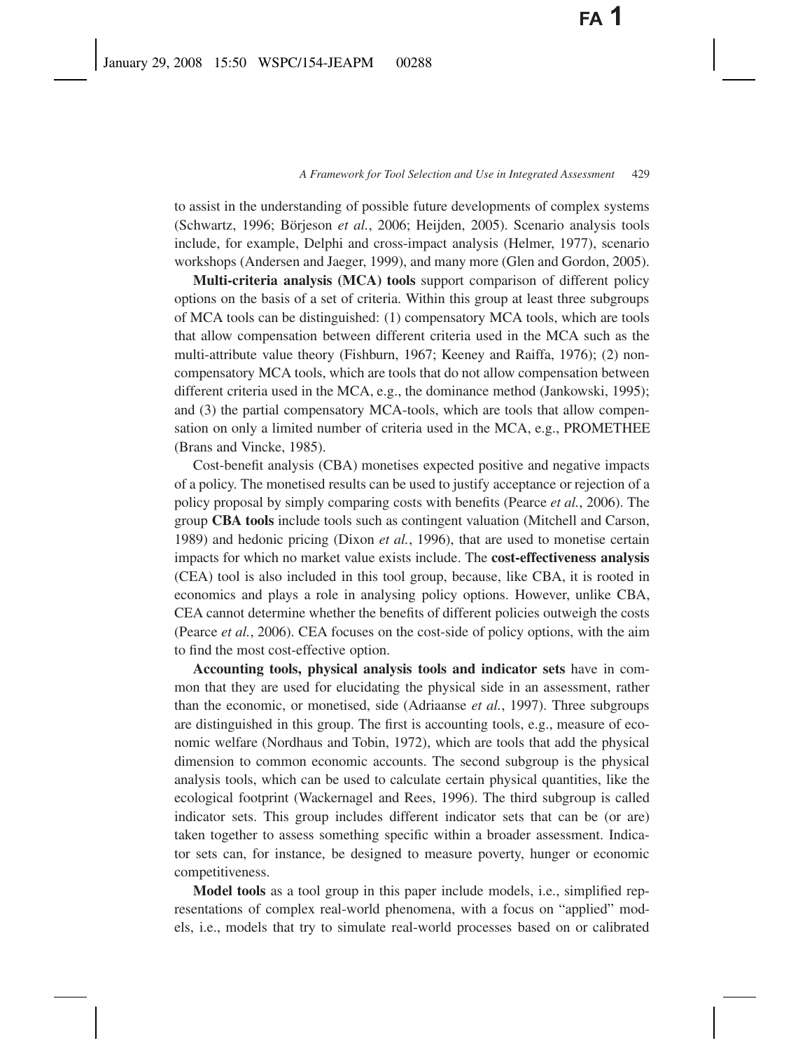to assist in the understanding of possible future developments of complex systems (Schwartz, 1996; Börjeson *et al.*, 2006; Heijden, 2005). Scenario analysis tools include, for example, Delphi and cross-impact analysis (Helmer, 1977), scenario workshops (Andersen and Jaeger, 1999), and many more (Glen and Gordon, 2005).

**Multi-criteria analysis (MCA) tools** support comparison of different policy options on the basis of a set of criteria. Within this group at least three subgroups of MCA tools can be distinguished: (1) compensatory MCA tools, which are tools that allow compensation between different criteria used in the MCA such as the multi-attribute value theory (Fishburn, 1967; Keeney and Raiffa, 1976); (2) noncompensatory MCA tools, which are tools that do not allow compensation between different criteria used in the MCA, e.g., the dominance method (Jankowski, 1995); and (3) the partial compensatory MCA-tools, which are tools that allow compensation on only a limited number of criteria used in the MCA, e.g., PROMETHEE (Brans and Vincke, 1985).

Cost-benefit analysis (CBA) monetises expected positive and negative impacts of a policy. The monetised results can be used to justify acceptance or rejection of a policy proposal by simply comparing costs with benefits (Pearce *et al.*, 2006). The group **CBA tools** include tools such as contingent valuation (Mitchell and Carson, 1989) and hedonic pricing (Dixon *et al.*, 1996), that are used to monetise certain impacts for which no market value exists include. The **cost-effectiveness analysis** (CEA) tool is also included in this tool group, because, like CBA, it is rooted in economics and plays a role in analysing policy options. However, unlike CBA, CEA cannot determine whether the benefits of different policies outweigh the costs (Pearce *et al.*, 2006). CEA focuses on the cost-side of policy options, with the aim to find the most cost-effective option.

**Accounting tools, physical analysis tools and indicator sets** have in common that they are used for elucidating the physical side in an assessment, rather than the economic, or monetised, side (Adriaanse *et al.*, 1997). Three subgroups are distinguished in this group. The first is accounting tools, e.g., measure of economic welfare (Nordhaus and Tobin, 1972), which are tools that add the physical dimension to common economic accounts. The second subgroup is the physical analysis tools, which can be used to calculate certain physical quantities, like the ecological footprint (Wackernagel and Rees, 1996). The third subgroup is called indicator sets. This group includes different indicator sets that can be (or are) taken together to assess something specific within a broader assessment. Indicator sets can, for instance, be designed to measure poverty, hunger or economic competitiveness.

**Model tools** as a tool group in this paper include models, i.e., simplified representations of complex real-world phenomena, with a focus on "applied" models, i.e., models that try to simulate real-world processes based on or calibrated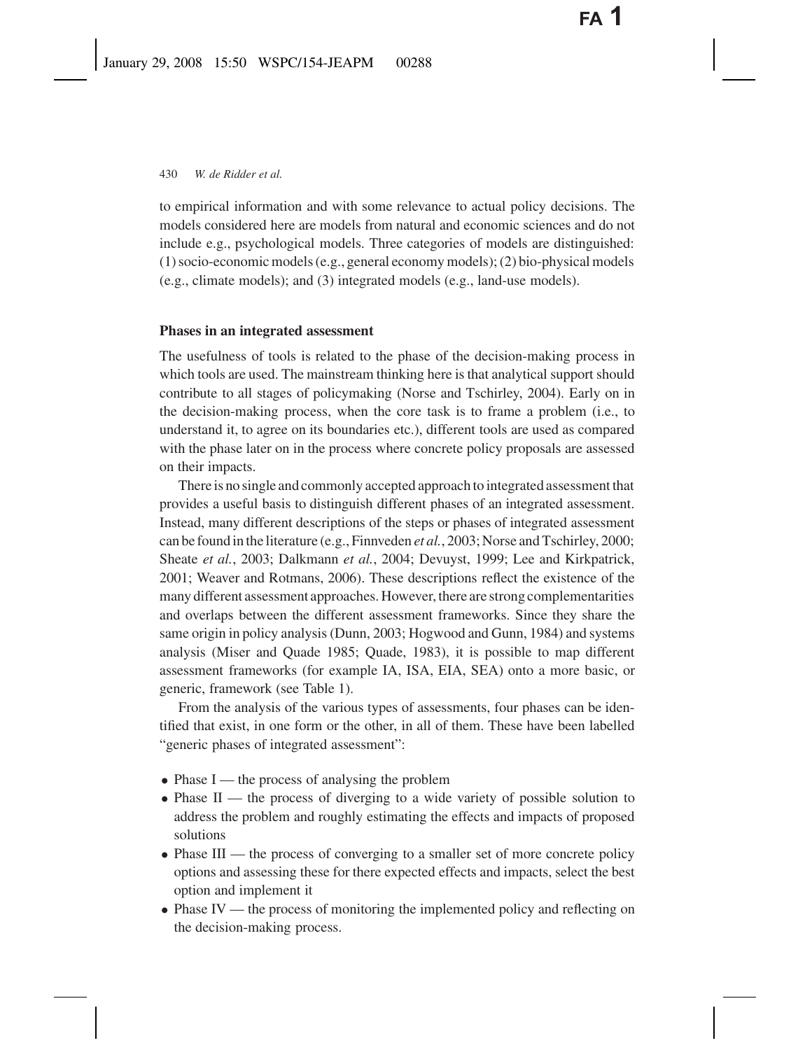to empirical information and with some relevance to actual policy decisions. The models considered here are models from natural and economic sciences and do not include e.g., psychological models. Three categories of models are distinguished: (1) socio-economic models (e.g., general economy models); (2) bio-physical models (e.g., climate models); and (3) integrated models (e.g., land-use models).

## **Phases in an integrated assessment**

The usefulness of tools is related to the phase of the decision-making process in which tools are used. The mainstream thinking here is that analytical support should contribute to all stages of policymaking (Norse and Tschirley, 2004). Early on in the decision-making process, when the core task is to frame a problem (i.e., to understand it, to agree on its boundaries etc.), different tools are used as compared with the phase later on in the process where concrete policy proposals are assessed on their impacts.

There is no single and commonly accepted approach to integrated assessment that provides a useful basis to distinguish different phases of an integrated assessment. Instead, many different descriptions of the steps or phases of integrated assessment can be found in the literature (e.g., Finnveden *et al.*, 2003; Norse and Tschirley, 2000; Sheate *et al.*, 2003; Dalkmann *et al.*, 2004; Devuyst, 1999; Lee and Kirkpatrick, 2001; Weaver and Rotmans, 2006). These descriptions reflect the existence of the many different assessment approaches. However, there are strong complementarities and overlaps between the different assessment frameworks. Since they share the same origin in policy analysis (Dunn, 2003; Hogwood and Gunn, 1984) and systems analysis (Miser and Quade 1985; Quade, 1983), it is possible to map different assessment frameworks (for example IA, ISA, EIA, SEA) onto a more basic, or generic, framework (see Table 1).

From the analysis of the various types of assessments, four phases can be identified that exist, in one form or the other, in all of them. These have been labelled "generic phases of integrated assessment":

- Phase I the process of analysing the problem
- Phase II the process of diverging to a wide variety of possible solution to address the problem and roughly estimating the effects and impacts of proposed solutions
- Phase III the process of converging to a smaller set of more concrete policy options and assessing these for there expected effects and impacts, select the best option and implement it
- Phase IV the process of monitoring the implemented policy and reflecting on the decision-making process.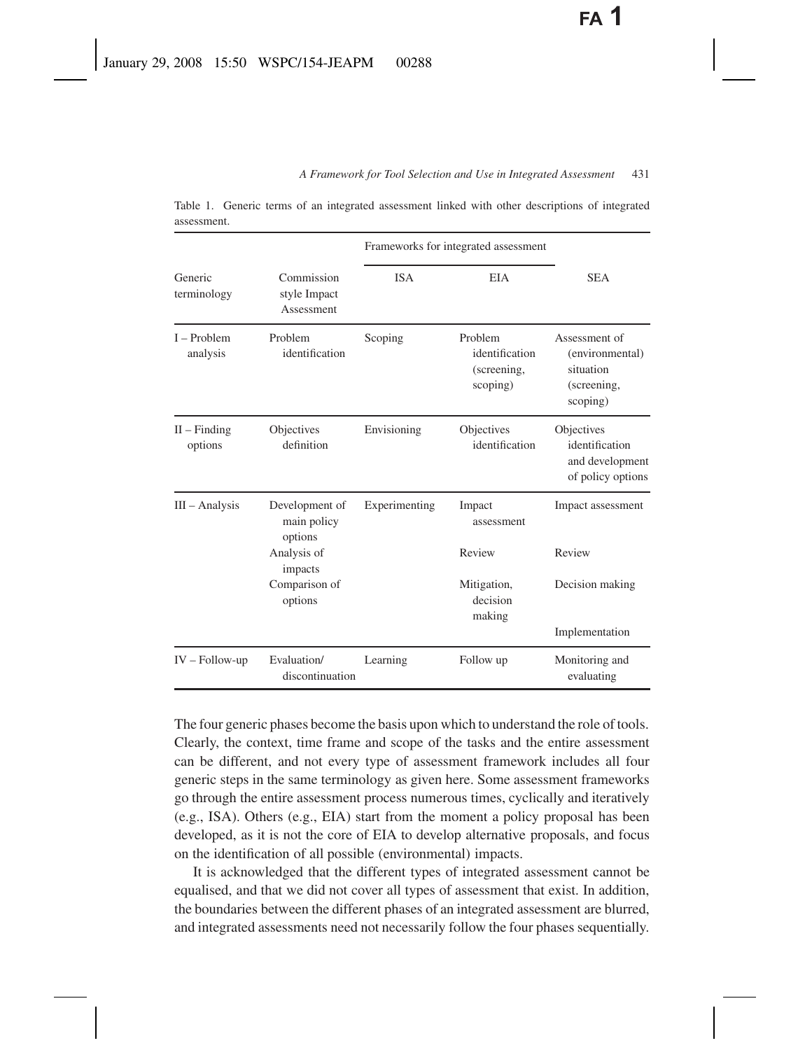|                           |                                          | Frameworks for integrated assessment |                                                      |                                                                          |
|---------------------------|------------------------------------------|--------------------------------------|------------------------------------------------------|--------------------------------------------------------------------------|
| Generic<br>terminology    | Commission<br>style Impact<br>Assessment | <b>ISA</b>                           | <b>EIA</b>                                           | <b>SEA</b>                                                               |
| $I - Problem$<br>analysis | Problem<br>identification                | Scoping                              | Problem<br>identification<br>(screening,<br>scoping) | Assessment of<br>(environmental)<br>situation<br>(screening,<br>scoping) |
| $II$ – Finding<br>options | Objectives<br>definition                 | Envisioning                          | Objectives<br>identification                         | Objectives<br>identification<br>and development<br>of policy options     |
| $III - Analysis$          | Development of<br>main policy<br>options | Experimenting                        | Impact<br>assessment                                 | Impact assessment                                                        |
|                           | Analysis of<br>impacts                   |                                      | Review                                               | Review                                                                   |
|                           | Comparison of<br>options                 |                                      | Mitigation,<br>decision<br>making                    | Decision making                                                          |
|                           |                                          |                                      |                                                      | Implementation                                                           |
| $IV - Follow-up$          | Evaluation/<br>discontinuation           | Learning                             | Follow up                                            | Monitoring and<br>evaluating                                             |

Table 1. Generic terms of an integrated assessment linked with other descriptions of integrated assessment.

The four generic phases become the basis upon which to understand the role of tools. Clearly, the context, time frame and scope of the tasks and the entire assessment can be different, and not every type of assessment framework includes all four generic steps in the same terminology as given here. Some assessment frameworks go through the entire assessment process numerous times, cyclically and iteratively (e.g., ISA). Others (e.g., EIA) start from the moment a policy proposal has been developed, as it is not the core of EIA to develop alternative proposals, and focus on the identification of all possible (environmental) impacts.

It is acknowledged that the different types of integrated assessment cannot be equalised, and that we did not cover all types of assessment that exist. In addition, the boundaries between the different phases of an integrated assessment are blurred, and integrated assessments need not necessarily follow the four phases sequentially.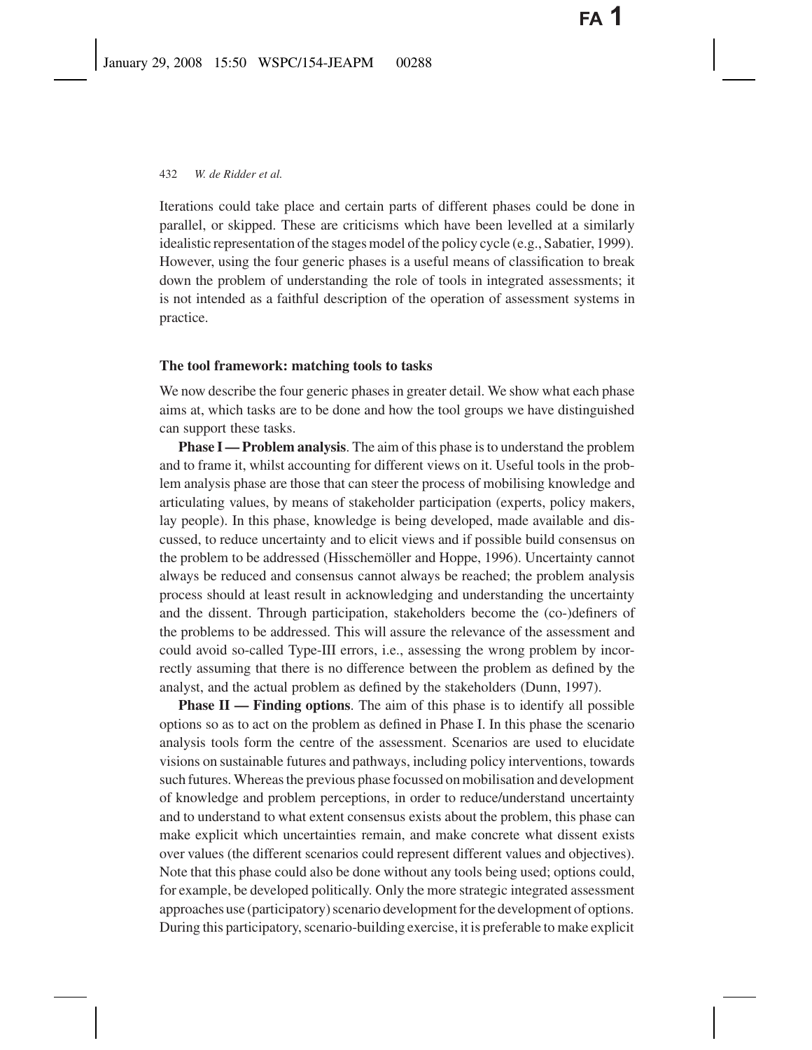Iterations could take place and certain parts of different phases could be done in parallel, or skipped. These are criticisms which have been levelled at a similarly idealistic representation of the stages model of the policy cycle (e.g., Sabatier, 1999). However, using the four generic phases is a useful means of classification to break down the problem of understanding the role of tools in integrated assessments; it is not intended as a faithful description of the operation of assessment systems in practice.

#### **The tool framework: matching tools to tasks**

We now describe the four generic phases in greater detail. We show what each phase aims at, which tasks are to be done and how the tool groups we have distinguished can support these tasks.

**Phase I**—**Problem analysis**. The aim of this phase is to understand the problem and to frame it, whilst accounting for different views on it. Useful tools in the problem analysis phase are those that can steer the process of mobilising knowledge and articulating values, by means of stakeholder participation (experts, policy makers, lay people). In this phase, knowledge is being developed, made available and discussed, to reduce uncertainty and to elicit views and if possible build consensus on the problem to be addressed (Hisschemöller and Hoppe, 1996). Uncertainty cannot always be reduced and consensus cannot always be reached; the problem analysis process should at least result in acknowledging and understanding the uncertainty and the dissent. Through participation, stakeholders become the (co-)definers of the problems to be addressed. This will assure the relevance of the assessment and could avoid so-called Type-III errors, i.e., assessing the wrong problem by incorrectly assuming that there is no difference between the problem as defined by the analyst, and the actual problem as defined by the stakeholders (Dunn, 1997).

**Phase II — Finding options**. The aim of this phase is to identify all possible options so as to act on the problem as defined in Phase I. In this phase the scenario analysis tools form the centre of the assessment. Scenarios are used to elucidate visions on sustainable futures and pathways, including policy interventions, towards such futures. Whereas the previous phase focussed on mobilisation and development of knowledge and problem perceptions, in order to reduce/understand uncertainty and to understand to what extent consensus exists about the problem, this phase can make explicit which uncertainties remain, and make concrete what dissent exists over values (the different scenarios could represent different values and objectives). Note that this phase could also be done without any tools being used; options could, for example, be developed politically. Only the more strategic integrated assessment approaches use (participatory) scenario development for the development of options. During this participatory, scenario-building exercise, it is preferable to make explicit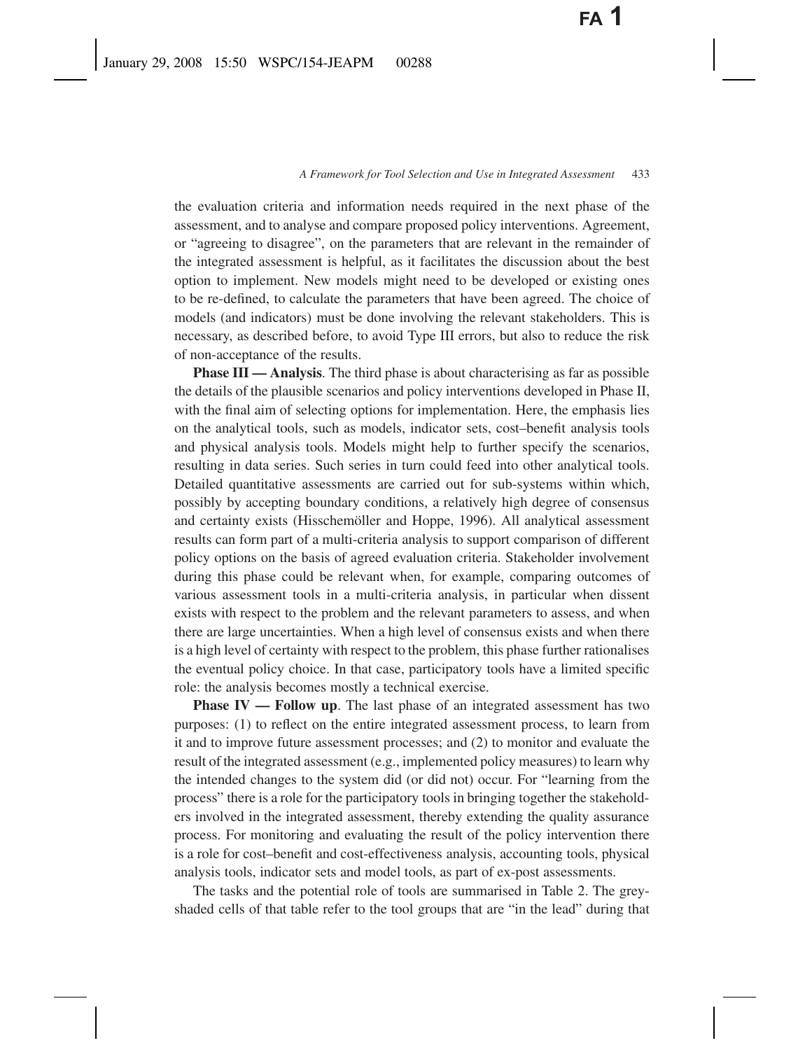the evaluation criteria and information needs required in the next phase of the assessment, and to analyse and compare proposed policy interventions. Agreement, or "agreeing to disagree", on the parameters that are relevant in the remainder of the integrated assessment is helpful, as it facilitates the discussion about the best option to implement. New models might need to be developed or existing ones to be re-defined, to calculate the parameters that have been agreed. The choice of models (and indicators) must be done involving the relevant stakeholders. This is necessary, as described before, to avoid Type III errors, but also to reduce the risk of non-acceptance of the results.

**Phase III — Analysis**. The third phase is about characterising as far as possible the details of the plausible scenarios and policy interventions developed in Phase II, with the final aim of selecting options for implementation. Here, the emphasis lies on the analytical tools, such as models, indicator sets, cost–benefit analysis tools and physical analysis tools. Models might help to further specify the scenarios, resulting in data series. Such series in turn could feed into other analytical tools. Detailed quantitative assessments are carried out for sub-systems within which, possibly by accepting boundary conditions, a relatively high degree of consensus and certainty exists (Hisschemöller and Hoppe, 1996). All analytical assessment results can form part of a multi-criteria analysis to support comparison of different policy options on the basis of agreed evaluation criteria. Stakeholder involvement during this phase could be relevant when, for example, comparing outcomes of various assessment tools in a multi-criteria analysis, in particular when dissent exists with respect to the problem and the relevant parameters to assess, and when there are large uncertainties. When a high level of consensus exists and when there is a high level of certainty with respect to the problem, this phase further rationalises the eventual policy choice. In that case, participatory tools have a limited specific role: the analysis becomes mostly a technical exercise.

**Phase IV — Follow up**. The last phase of an integrated assessment has two purposes: (1) to reflect on the entire integrated assessment process, to learn from it and to improve future assessment processes; and (2) to monitor and evaluate the result of the integrated assessment (e.g., implemented policy measures) to learn why the intended changes to the system did (or did not) occur. For "learning from the process" there is a role for the participatory tools in bringing together the stakeholders involved in the integrated assessment, thereby extending the quality assurance process. For monitoring and evaluating the result of the policy intervention there is a role for cost–benefit and cost-effectiveness analysis, accounting tools, physical analysis tools, indicator sets and model tools, as part of ex-post assessments.

The tasks and the potential role of tools are summarised in Table 2. The greyshaded cells of that table refer to the tool groups that are "in the lead" during that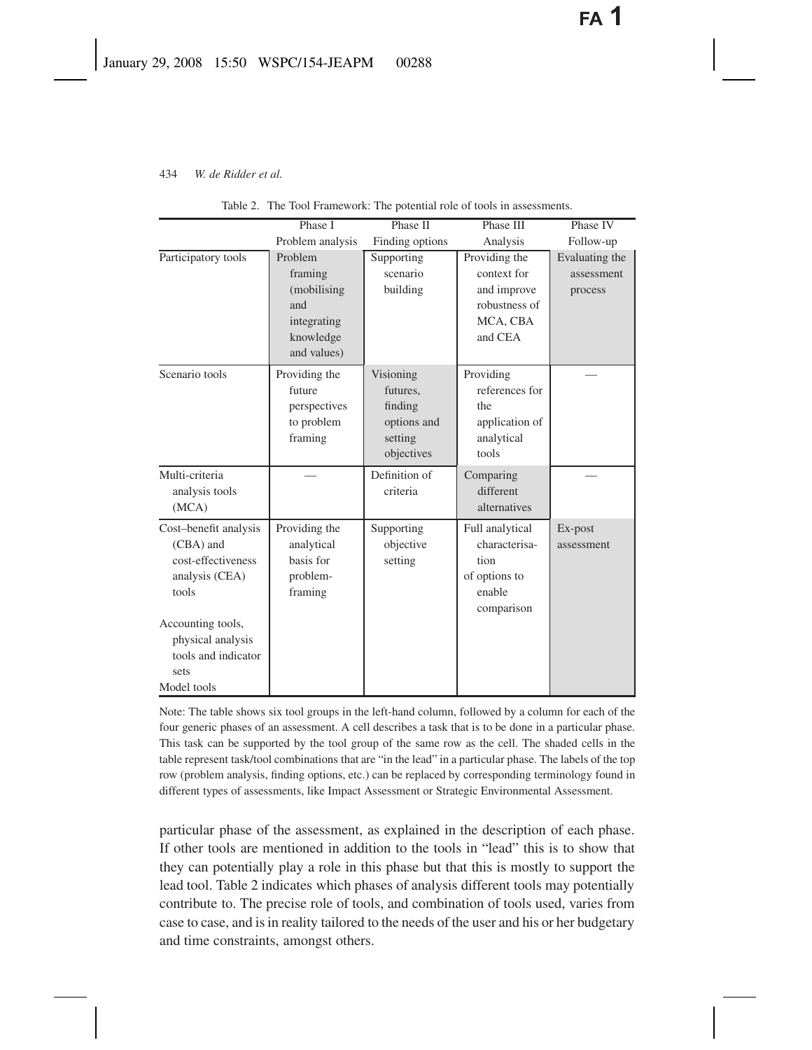|                                                                                                                                                                             | Phase I                                                                             | Phase II                                                                 | Phase III                                                                           | Phase IV                                |
|-----------------------------------------------------------------------------------------------------------------------------------------------------------------------------|-------------------------------------------------------------------------------------|--------------------------------------------------------------------------|-------------------------------------------------------------------------------------|-----------------------------------------|
|                                                                                                                                                                             | Problem analysis                                                                    | Finding options                                                          | Analysis                                                                            | Follow-up                               |
| Participatory tools                                                                                                                                                         | Problem<br>framing<br>(mobilising<br>and<br>integrating<br>knowledge<br>and values) | Supporting<br>scenario<br>building                                       | Providing the<br>context for<br>and improve<br>robustness of<br>MCA, CBA<br>and CEA | Evaluating the<br>assessment<br>process |
| Scenario tools                                                                                                                                                              | Providing the<br>future<br>perspectives<br>to problem<br>framing                    | Visioning<br>futures,<br>finding<br>options and<br>setting<br>objectives | Providing<br>references for<br>the<br>application of<br>analytical<br>tools         |                                         |
| Multi-criteria<br>analysis tools<br>(MCA)                                                                                                                                   |                                                                                     | Definition of<br>criteria                                                | Comparing<br>different<br>alternatives                                              |                                         |
| Cost-benefit analysis<br>(CBA) and<br>cost-effectiveness<br>analysis (CEA)<br>tools<br>Accounting tools,<br>physical analysis<br>tools and indicator<br>sets<br>Model tools | Providing the<br>analytical<br>basis for<br>problem-<br>framing                     | Supporting<br>objective<br>setting                                       | Full analytical<br>characterisa-<br>tion<br>of options to<br>enable<br>comparison   | Ex-post<br>assessment                   |

Table 2. The Tool Framework: The potential role of tools in assessments.

Note: The table shows six tool groups in the left-hand column, followed by a column for each of the four generic phases of an assessment. A cell describes a task that is to be done in a particular phase. This task can be supported by the tool group of the same row as the cell. The shaded cells in the table represent task/tool combinations that are "in the lead" in a particular phase. The labels of the top row (problem analysis, finding options, etc.) can be replaced by corresponding terminology found in different types of assessments, like Impact Assessment or Strategic Environmental Assessment.

particular phase of the assessment, as explained in the description of each phase. If other tools are mentioned in addition to the tools in "lead" this is to show that they can potentially play a role in this phase but that this is mostly to support the lead tool. Table 2 indicates which phases of analysis different tools may potentially contribute to. The precise role of tools, and combination of tools used, varies from case to case, and is in reality tailored to the needs of the user and his or her budgetary and time constraints, amongst others.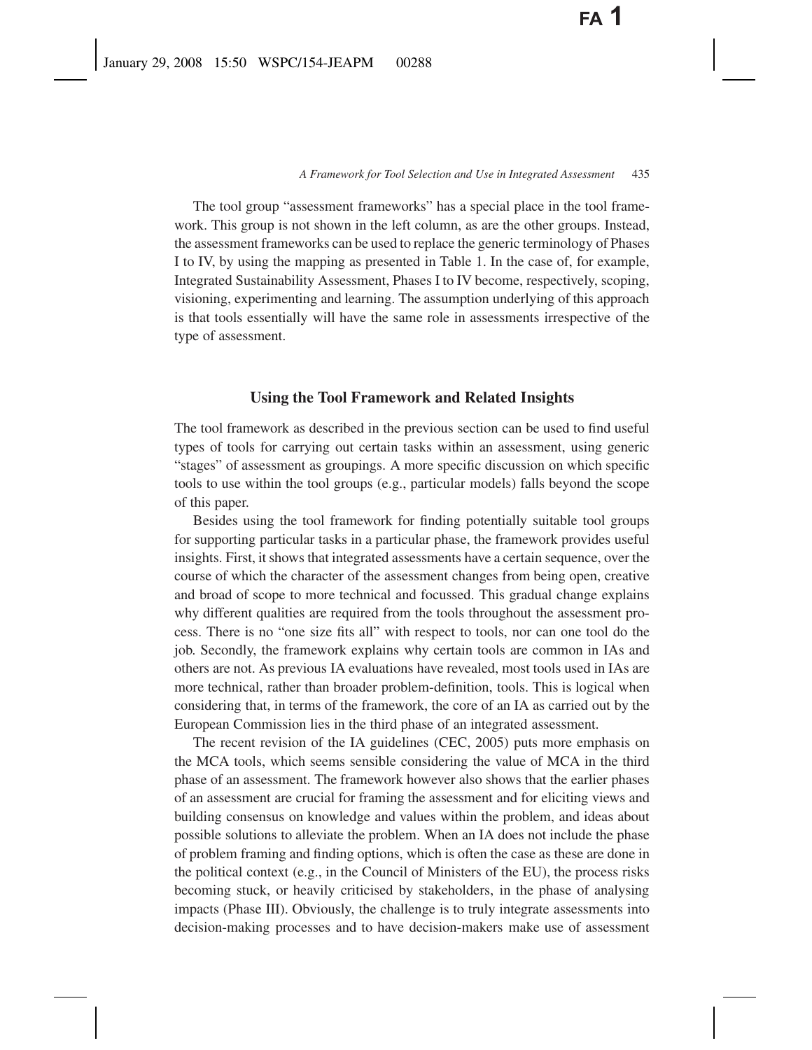The tool group "assessment frameworks" has a special place in the tool framework. This group is not shown in the left column, as are the other groups. Instead, the assessment frameworks can be used to replace the generic terminology of Phases I to IV, by using the mapping as presented in Table 1. In the case of, for example, Integrated Sustainability Assessment, Phases I to IV become, respectively, scoping, visioning, experimenting and learning. The assumption underlying of this approach is that tools essentially will have the same role in assessments irrespective of the type of assessment.

## **Using the Tool Framework and Related Insights**

The tool framework as described in the previous section can be used to find useful types of tools for carrying out certain tasks within an assessment, using generic "stages" of assessment as groupings. A more specific discussion on which specific tools to use within the tool groups (e.g., particular models) falls beyond the scope of this paper.

Besides using the tool framework for finding potentially suitable tool groups for supporting particular tasks in a particular phase, the framework provides useful insights. First, it shows that integrated assessments have a certain sequence, over the course of which the character of the assessment changes from being open, creative and broad of scope to more technical and focussed. This gradual change explains why different qualities are required from the tools throughout the assessment process. There is no "one size fits all" with respect to tools, nor can one tool do the job. Secondly, the framework explains why certain tools are common in IAs and others are not. As previous IA evaluations have revealed, most tools used in IAs are more technical, rather than broader problem-definition, tools. This is logical when considering that, in terms of the framework, the core of an IA as carried out by the European Commission lies in the third phase of an integrated assessment.

The recent revision of the IA guidelines (CEC, 2005) puts more emphasis on the MCA tools, which seems sensible considering the value of MCA in the third phase of an assessment. The framework however also shows that the earlier phases of an assessment are crucial for framing the assessment and for eliciting views and building consensus on knowledge and values within the problem, and ideas about possible solutions to alleviate the problem. When an IA does not include the phase of problem framing and finding options, which is often the case as these are done in the political context (e.g., in the Council of Ministers of the EU), the process risks becoming stuck, or heavily criticised by stakeholders, in the phase of analysing impacts (Phase III). Obviously, the challenge is to truly integrate assessments into decision-making processes and to have decision-makers make use of assessment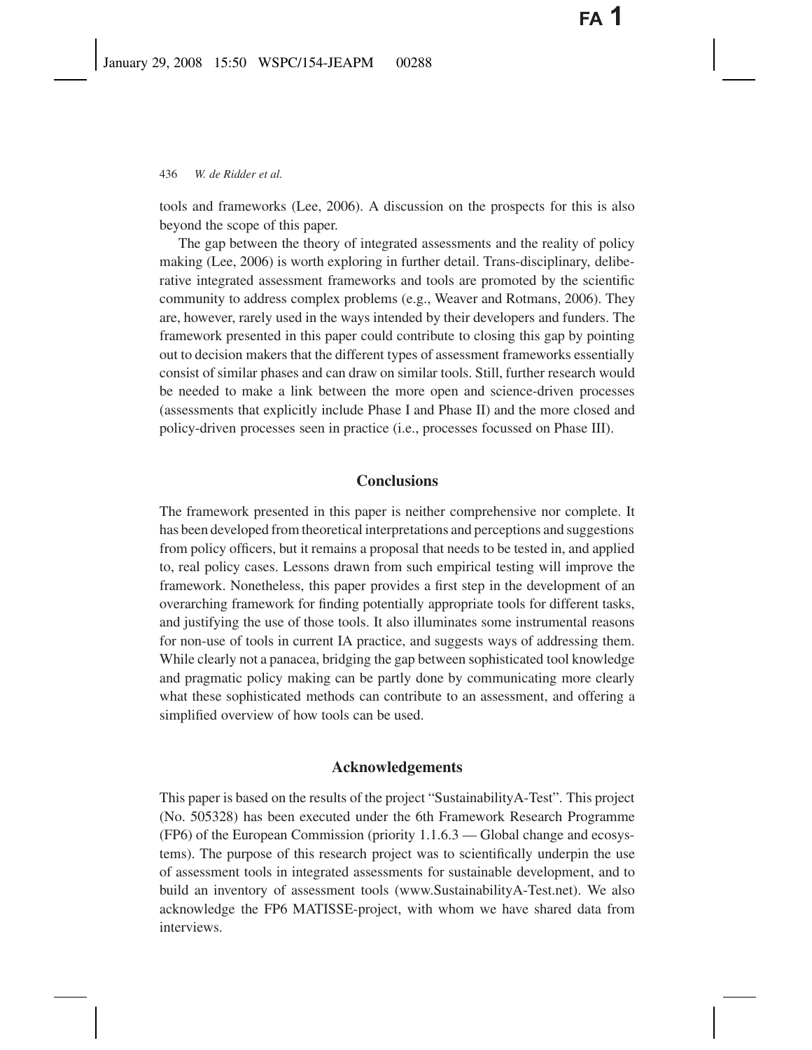tools and frameworks (Lee, 2006). A discussion on the prospects for this is also beyond the scope of this paper.

The gap between the theory of integrated assessments and the reality of policy making (Lee, 2006) is worth exploring in further detail. Trans-disciplinary, deliberative integrated assessment frameworks and tools are promoted by the scientific community to address complex problems (e.g., Weaver and Rotmans, 2006). They are, however, rarely used in the ways intended by their developers and funders. The framework presented in this paper could contribute to closing this gap by pointing out to decision makers that the different types of assessment frameworks essentially consist of similar phases and can draw on similar tools. Still, further research would be needed to make a link between the more open and science-driven processes (assessments that explicitly include Phase I and Phase II) and the more closed and policy-driven processes seen in practice (i.e., processes focussed on Phase III).

## **Conclusions**

The framework presented in this paper is neither comprehensive nor complete. It has been developed from theoretical interpretations and perceptions and suggestions from policy officers, but it remains a proposal that needs to be tested in, and applied to, real policy cases. Lessons drawn from such empirical testing will improve the framework. Nonetheless, this paper provides a first step in the development of an overarching framework for finding potentially appropriate tools for different tasks, and justifying the use of those tools. It also illuminates some instrumental reasons for non-use of tools in current IA practice, and suggests ways of addressing them. While clearly not a panacea, bridging the gap between sophisticated tool knowledge and pragmatic policy making can be partly done by communicating more clearly what these sophisticated methods can contribute to an assessment, and offering a simplified overview of how tools can be used.

## **Acknowledgements**

This paper is based on the results of the project "SustainabilityA-Test". This project (No. 505328) has been executed under the 6th Framework Research Programme (FP6) of the European Commission (priority 1.1.6.3 — Global change and ecosystems). The purpose of this research project was to scientifically underpin the use of assessment tools in integrated assessments for sustainable development, and to build an inventory of assessment tools (www.SustainabilityA-Test.net). We also acknowledge the FP6 MATISSE-project, with whom we have shared data from interviews.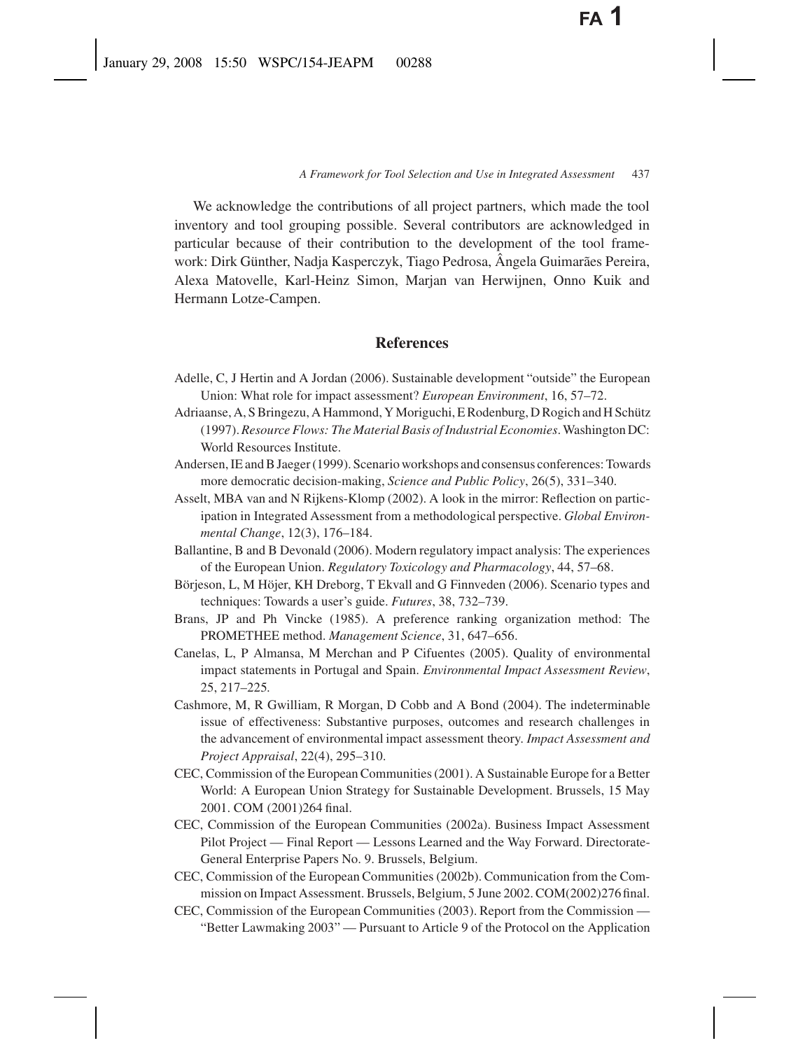We acknowledge the contributions of all project partners, which made the tool inventory and tool grouping possible. Several contributors are acknowledged in particular because of their contribution to the development of the tool framework: Dirk Günther, Nadja Kasperczyk, Tiago Pedrosa, Ângela Guimarães Pereira, Alexa Matovelle, Karl-Heinz Simon, Marjan van Herwijnen, Onno Kuik and Hermann Lotze-Campen.

## **References**

- Adelle, C, J Hertin and A Jordan (2006). Sustainable development "outside" the European Union: What role for impact assessment? *European Environment*, 16, 57–72.
- Adriaanse, A, S Bringezu, A Hammond, Y Moriguchi, E Rodenburg, D Rogich and H Schütz (1997).*Resource Flows: The Material Basis of Industrial Economies*. Washington DC: World Resources Institute.
- Andersen, IE and B Jaeger (1999). Scenario workshops and consensus conferences: Towards more democratic decision-making, *Science and Public Policy*, 26(5), 331–340.
- Asselt, MBA van and N Rijkens-Klomp (2002). A look in the mirror: Reflection on participation in Integrated Assessment from a methodological perspective. *Global Environmental Change*, 12(3), 176–184.
- Ballantine, B and B Devonald (2006). Modern regulatory impact analysis: The experiences of the European Union. *Regulatory Toxicology and Pharmacology*, 44, 57–68.
- Börjeson, L, M Höjer, KH Dreborg, T Ekvall and G Finnveden (2006). Scenario types and techniques: Towards a user's guide. *Futures*, 38, 732–739.
- Brans, JP and Ph Vincke (1985). A preference ranking organization method: The PROMETHEE method. *Management Science*, 31, 647–656.
- Canelas, L, P Almansa, M Merchan and P Cifuentes (2005). Quality of environmental impact statements in Portugal and Spain. *Environmental Impact Assessment Review*, 25, 217–225.
- Cashmore, M, R Gwilliam, R Morgan, D Cobb and A Bond (2004). The indeterminable issue of effectiveness: Substantive purposes, outcomes and research challenges in the advancement of environmental impact assessment theory. *Impact Assessment and Project Appraisal*, 22(4), 295–310.
- CEC, Commission of the European Communities (2001). A Sustainable Europe for a Better World: A European Union Strategy for Sustainable Development. Brussels, 15 May 2001. COM (2001)264 final.
- CEC, Commission of the European Communities (2002a). Business Impact Assessment Pilot Project — Final Report — Lessons Learned and the Way Forward. Directorate-General Enterprise Papers No. 9. Brussels, Belgium.
- CEC, Commission of the European Communities (2002b). Communication from the Commission on Impact Assessment. Brussels, Belgium, 5 June 2002. COM(2002)276 final.
- CEC, Commission of the European Communities (2003). Report from the Commission "Better Lawmaking 2003" — Pursuant to Article 9 of the Protocol on the Application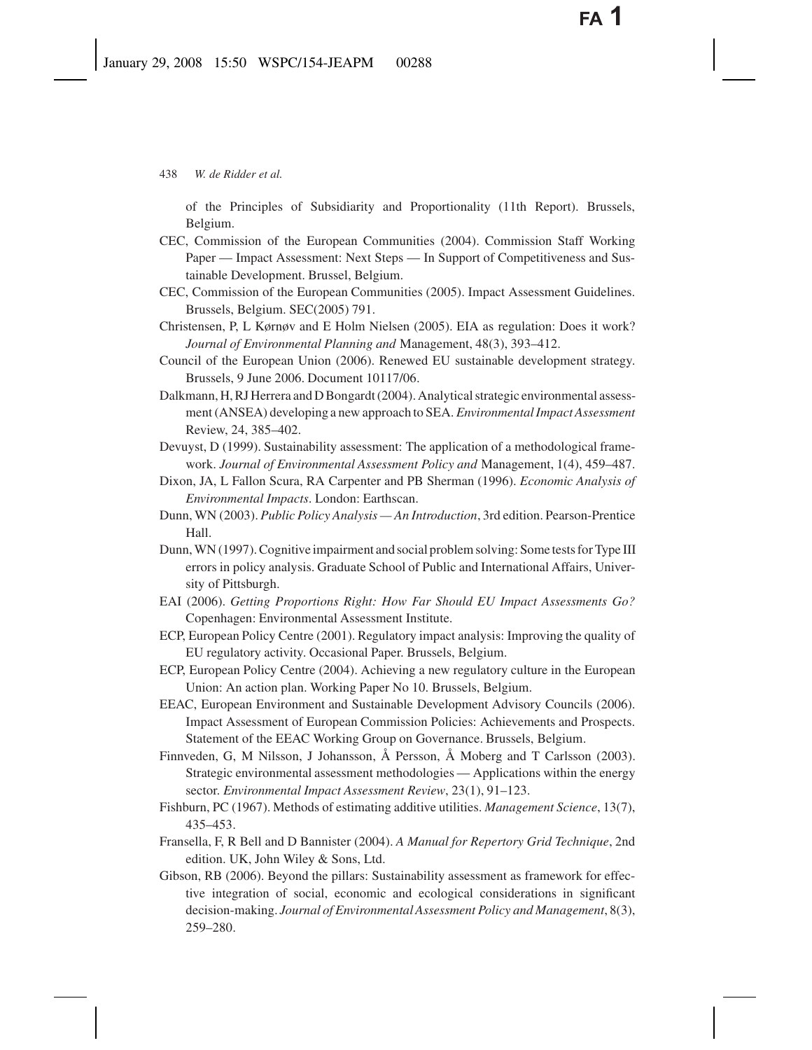of the Principles of Subsidiarity and Proportionality (11th Report). Brussels, Belgium.

- CEC, Commission of the European Communities (2004). Commission Staff Working Paper — Impact Assessment: Next Steps — In Support of Competitiveness and Sustainable Development. Brussel, Belgium.
- CEC, Commission of the European Communities (2005). Impact Assessment Guidelines. Brussels, Belgium. SEC(2005) 791.
- Christensen, P, L Kørnøv and E Holm Nielsen (2005). EIA as regulation: Does it work? *Journal of Environmental Planning and* Management, 48(3), 393–412.
- Council of the European Union (2006). Renewed EU sustainable development strategy. Brussels, 9 June 2006. Document 10117/06.
- Dalkmann, H, RJ Herrera and D Bongardt (2004). Analytical strategic environmental assessment (ANSEA) developing a new approach to SEA. *Environmental Impact Assessment* Review, 24, 385–402.
- Devuyst, D (1999). Sustainability assessment: The application of a methodological framework. *Journal of Environmental Assessment Policy and* Management, 1(4), 459–487.
- Dixon, JA, L Fallon Scura, RA Carpenter and PB Sherman (1996). *Economic Analysis of Environmental Impacts*. London: Earthscan.
- Dunn, WN (2003). *Public Policy Analysis An Introduction*, 3rd edition. Pearson-Prentice Hall.
- Dunn, WN (1997). Cognitive impairment and social problem solving: Some tests for Type III errors in policy analysis. Graduate School of Public and International Affairs, University of Pittsburgh.
- EAI (2006). *Getting Proportions Right: How Far Should EU Impact Assessments Go?* Copenhagen: Environmental Assessment Institute.
- ECP, European Policy Centre (2001). Regulatory impact analysis: Improving the quality of EU regulatory activity. Occasional Paper. Brussels, Belgium.
- ECP, European Policy Centre (2004). Achieving a new regulatory culture in the European Union: An action plan. Working Paper No 10. Brussels, Belgium.
- EEAC, European Environment and Sustainable Development Advisory Councils (2006). Impact Assessment of European Commission Policies: Achievements and Prospects. Statement of the EEAC Working Group on Governance. Brussels, Belgium.
- Finnveden, G, M Nilsson, J Johansson, Å Persson, Å Moberg and T Carlsson (2003). Strategic environmental assessment methodologies — Applications within the energy sector. *Environmental Impact Assessment Review*, 23(1), 91–123.
- Fishburn, PC (1967). Methods of estimating additive utilities. *Management Science*, 13(7), 435–453.
- Fransella, F, R Bell and D Bannister (2004). *A Manual for Repertory Grid Technique*, 2nd edition. UK, John Wiley & Sons, Ltd.
- Gibson, RB (2006). Beyond the pillars: Sustainability assessment as framework for effective integration of social, economic and ecological considerations in significant decision-making. *Journal of Environmental Assessment Policy and Management*, 8(3), 259–280.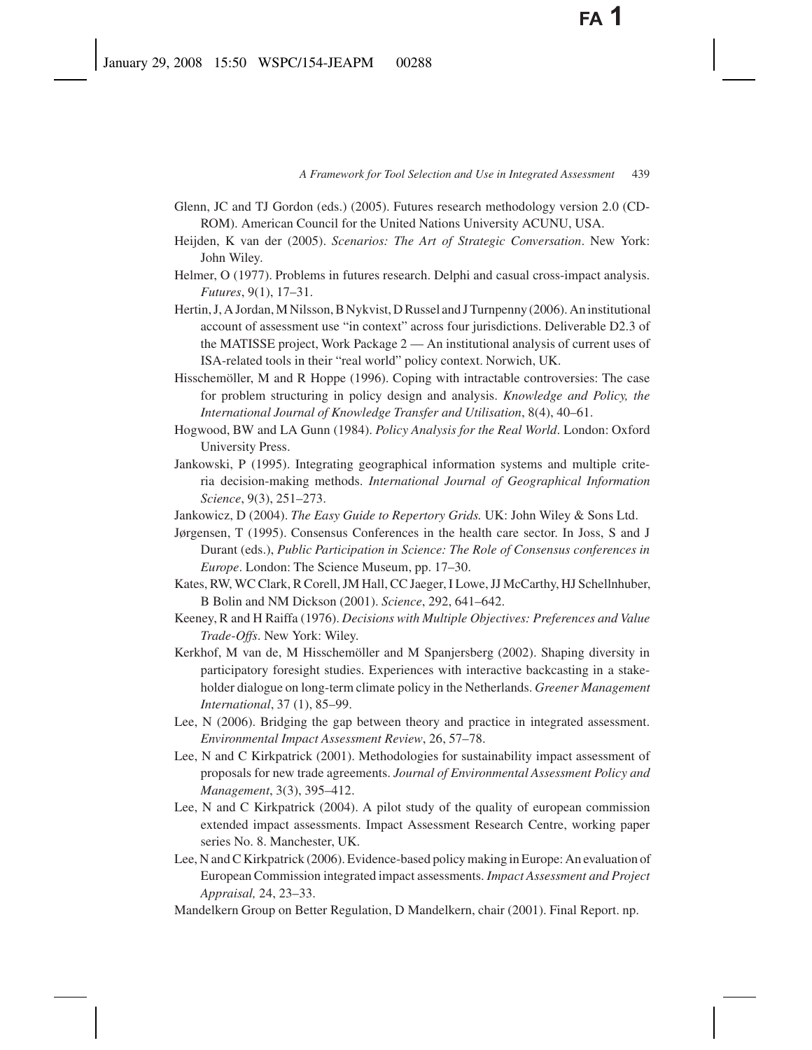- Glenn, JC and TJ Gordon (eds.) (2005). Futures research methodology version 2.0 (CD-ROM). American Council for the United Nations University ACUNU, USA.
- Heijden, K van der (2005). *Scenarios: The Art of Strategic Conversation*. New York: John Wiley.
- Helmer, O (1977). Problems in futures research. Delphi and casual cross-impact analysis. *Futures*, 9(1), 17–31.
- Hertin, J, A Jordan, M Nilsson, B Nykvist, D Russel and J Turnpenny (2006). An institutional account of assessment use "in context" across four jurisdictions. Deliverable D2.3 of the MATISSE project, Work Package 2 — An institutional analysis of current uses of ISA-related tools in their "real world" policy context. Norwich, UK.
- Hisschemöller, M and R Hoppe (1996). Coping with intractable controversies: The case for problem structuring in policy design and analysis. *Knowledge and Policy, the International Journal of Knowledge Transfer and Utilisation*, 8(4), 40–61.
- Hogwood, BW and LA Gunn (1984). *Policy Analysis for the Real World*. London: Oxford University Press.
- Jankowski, P (1995). Integrating geographical information systems and multiple criteria decision-making methods. *International Journal of Geographical Information Science*, 9(3), 251–273.
- Jankowicz, D (2004). *The Easy Guide to Repertory Grids.* UK: John Wiley & Sons Ltd.
- Jørgensen, T (1995). Consensus Conferences in the health care sector. In Joss, S and J Durant (eds.), *Public Participation in Science: The Role of Consensus conferences in Europe*. London: The Science Museum, pp. 17–30.
- Kates, RW, WC Clark, R Corell, JM Hall, CC Jaeger, I Lowe, JJ McCarthy, HJ Schellnhuber, B Bolin and NM Dickson (2001). *Science*, 292, 641–642.
- Keeney, R and H Raiffa (1976). *Decisions with Multiple Objectives: Preferences and Value Trade-Offs*. New York: Wiley.
- Kerkhof, M van de, M Hisschemöller and M Spanjersberg (2002). Shaping diversity in participatory foresight studies. Experiences with interactive backcasting in a stakeholder dialogue on long-term climate policy in the Netherlands. *Greener Management International*, 37 (1), 85–99.
- Lee, N (2006). Bridging the gap between theory and practice in integrated assessment. *Environmental Impact Assessment Review*, 26, 57–78.
- Lee, N and C Kirkpatrick (2001). Methodologies for sustainability impact assessment of proposals for new trade agreements. *Journal of Environmental Assessment Policy and Management*, 3(3), 395–412.
- Lee, N and C Kirkpatrick (2004). A pilot study of the quality of european commission extended impact assessments. Impact Assessment Research Centre, working paper series No. 8. Manchester, UK.
- Lee, N and C Kirkpatrick (2006). Evidence-based policy making in Europe: An evaluation of European Commission integrated impact assessments. *Impact Assessment and Project Appraisal,* 24, 23–33.
- Mandelkern Group on Better Regulation, D Mandelkern, chair (2001). Final Report. np.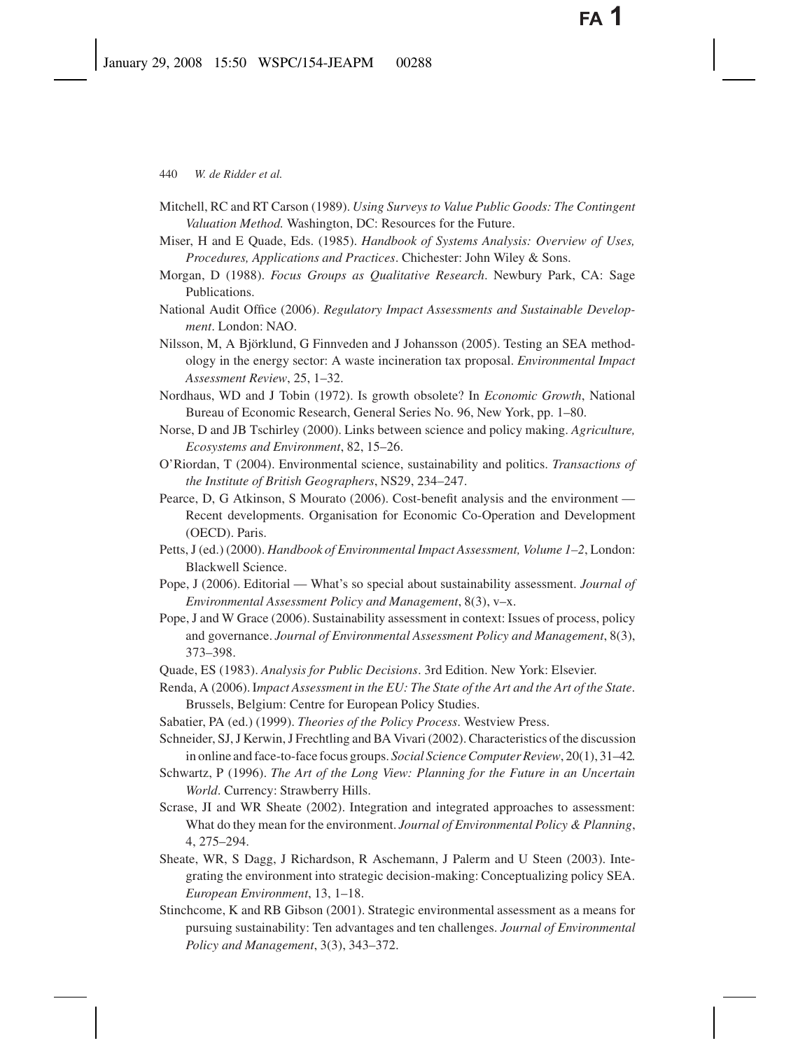- Mitchell, RC and RT Carson (1989). *Using Surveys to Value Public Goods: The Contingent Valuation Method.* Washington, DC: Resources for the Future.
- Miser, H and E Quade, Eds. (1985). *Handbook of Systems Analysis: Overview of Uses, Procedures, Applications and Practices*. Chichester: John Wiley & Sons.
- Morgan, D (1988). *Focus Groups as Qualitative Research*. Newbury Park, CA: Sage Publications.
- National Audit Office (2006). *Regulatory Impact Assessments and Sustainable Development*. London: NAO.
- Nilsson, M, A Björklund, G Finnveden and J Johansson (2005). Testing an SEA methodology in the energy sector: A waste incineration tax proposal. *Environmental Impact Assessment Review*, 25, 1–32.
- Nordhaus, WD and J Tobin (1972). Is growth obsolete? In *Economic Growth*, National Bureau of Economic Research, General Series No. 96, New York, pp. 1–80.
- Norse, D and JB Tschirley (2000). Links between science and policy making. *Agriculture, Ecosystems and Environment*, 82, 15–26.
- O'Riordan, T (2004). Environmental science, sustainability and politics. *Transactions of the Institute of British Geographers*, NS29, 234–247.
- Pearce, D, G Atkinson, S Mourato (2006). Cost-benefit analysis and the environment Recent developments. Organisation for Economic Co-Operation and Development (OECD). Paris.
- Petts, J (ed.) (2000). *Handbook of Environmental Impact Assessment, Volume 1–2*, London: Blackwell Science.
- Pope, J (2006). Editorial What's so special about sustainability assessment. *Journal of Environmental Assessment Policy and Management*, 8(3), v–x.
- Pope, J and W Grace (2006). Sustainability assessment in context: Issues of process, policy and governance. *Journal of Environmental Assessment Policy and Management*, 8(3), 373–398.
- Quade, ES (1983). *Analysis for Public Decisions*. 3rd Edition. New York: Elsevier.
- Renda, A (2006). I*mpact Assessment in the EU: The State of the Art and the Art of the State*. Brussels, Belgium: Centre for European Policy Studies.
- Sabatier, PA (ed.) (1999). *Theories of the Policy Process*. Westview Press.
- Schneider, SJ, J Kerwin, J Frechtling and BA Vivari (2002). Characteristics of the discussion in online and face-to-face focus groups. *Social Science Computer Review*, 20(1), 31–42.
- Schwartz, P (1996). *The Art of the Long View: Planning for the Future in an Uncertain World*. Currency: Strawberry Hills.
- Scrase, JI and WR Sheate (2002). Integration and integrated approaches to assessment: What do they mean for the environment. *Journal of Environmental Policy & Planning*, 4, 275–294.
- Sheate, WR, S Dagg, J Richardson, R Aschemann, J Palerm and U Steen (2003). Integrating the environment into strategic decision-making: Conceptualizing policy SEA. *European Environment*, 13, 1–18.
- Stinchcome, K and RB Gibson (2001). Strategic environmental assessment as a means for pursuing sustainability: Ten advantages and ten challenges. *Journal of Environmental Policy and Management*, 3(3), 343–372.